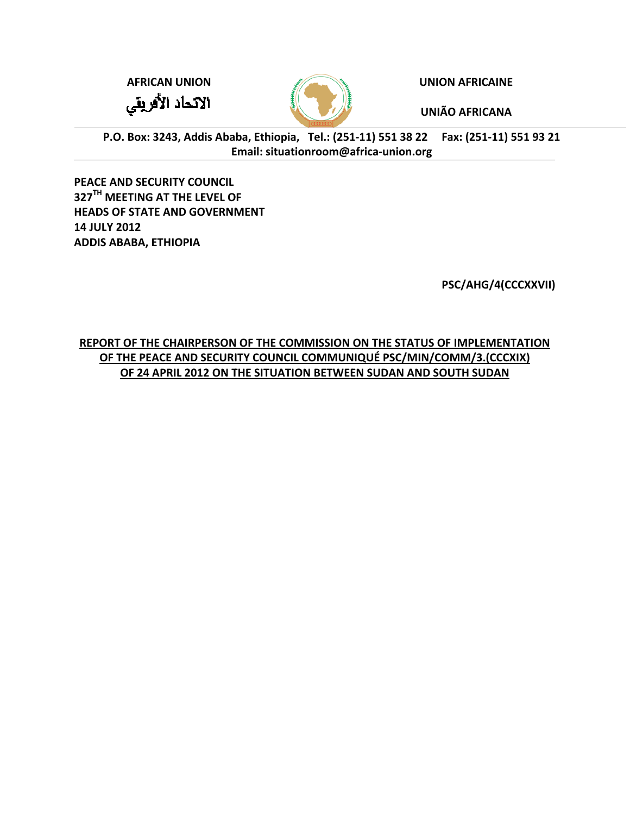**AFRICAN U UNION** الاتحاد الأفريقي



**UNION AF FRICAINE**

**UNIÃO AF FRICANA**

P.O. Box: 3243, Addis Ababa, Ethiopia, Tel.: (251-11) 551 38 22 Fax: (251-11) 551 93 21 **E Email: situat tionroom@a africa‐union .org**

**PEACE AND SECURITY COUNCIL 327TH ME EETING AT T THE LEVEL O OF HEADS O OF STATE AN ND GOVERNM MENT 14 JULY 2 2012 ADDIS AB BABA, ETHIO OPIA**

**PSC/A AHG/4(CCCX XXVII)**

**REPORT T OF THE CH AIRPERSON N OF THE CO MMISSION ON THE STA ATUS OF IMP PLEMENTAT TION OF T THE PEACE A AND SECURI ITY COUNCI L COMMUN NIQUÉ PSC/M MIN/COMM /3.(CCCXIX) OF 24 APRI L 2012 ON T THE SITUATI ON BETWEE EN SUDAN A AND SOUTH SUDAN**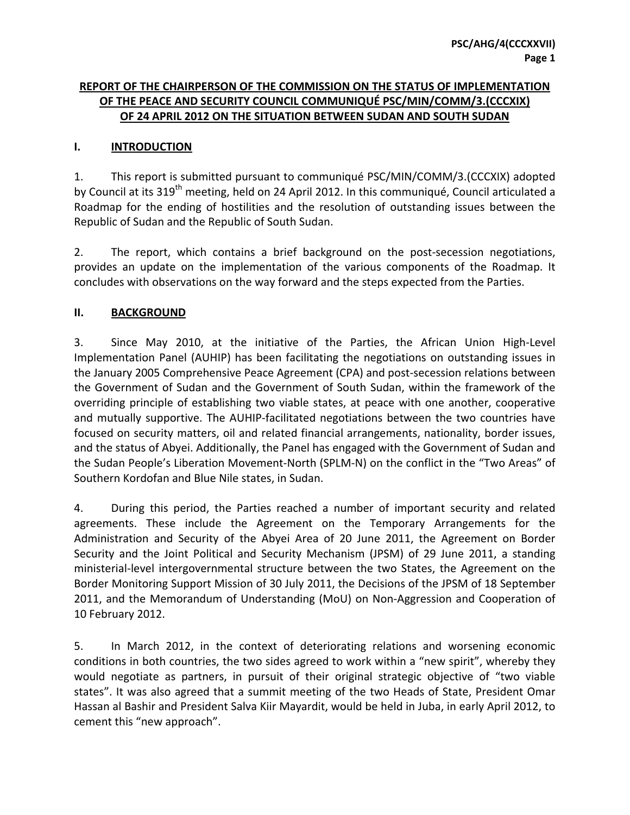# **REPORT OF THE CHAIRPERSON OF THE COMMISSION ON THE STATUS OF IMPLEMENTATION OF THE PEACE AND SECURITY COUNCIL COMMUNIQUÉ PSC/MIN/COMM/3.(CCCXIX) OF 24 APRIL 2012 ON THE SITUATION BETWEEN SUDAN AND SOUTH SUDAN**

### **I. INTRODUCTION**

1. This report is submitted pursuant to communiqué PSC/MIN/COMM/3.(CCCXIX) adopted by Council at its 319<sup>th</sup> meeting, held on 24 April 2012. In this communiqué, Council articulated a Roadmap for the ending of hostilities and the resolution of outstanding issues between the Republic of Sudan and the Republic of South Sudan.

2. The report, which contains a brief background on the post-secession negotiations, provides an update on the implementation of the various components of the Roadmap. It concludes with observations on the way forward and the steps expected from the Parties.

### **II. BACKGROUND**

3. Since May 2010, at the initiative of the Parties, the African Union High‐Level Implementation Panel (AUHIP) has been facilitating the negotiations on outstanding issues in the January 2005 Comprehensive Peace Agreement (CPA) and post‐secession relations between the Government of Sudan and the Government of South Sudan, within the framework of the overriding principle of establishing two viable states, at peace with one another, cooperative and mutually supportive. The AUHIP‐facilitated negotiations between the two countries have focused on security matters, oil and related financial arrangements, nationality, border issues, and the status of Abyei. Additionally, the Panel has engaged with the Government of Sudan and the Sudan People's Liberation Movement‐North (SPLM‐N) on the conflict in the "Two Areas" of Southern Kordofan and Blue Nile states, in Sudan.

4. During this period, the Parties reached a number of important security and related agreements. These include the Agreement on the Temporary Arrangements for the Administration and Security of the Abyei Area of 20 June 2011, the Agreement on Border Security and the Joint Political and Security Mechanism (JPSM) of 29 June 2011, a standing ministerial‐level intergovernmental structure between the two States, the Agreement on the Border Monitoring Support Mission of 30 July 2011, the Decisions of the JPSM of 18 September 2011, and the Memorandum of Understanding (MoU) on Non-Aggression and Cooperation of 10 February 2012.

5. In March 2012, in the context of deteriorating relations and worsening economic conditions in both countries, the two sides agreed to work within a "new spirit", whereby they would negotiate as partners, in pursuit of their original strategic objective of "two viable states". It was also agreed that a summit meeting of the two Heads of State, President Omar Hassan al Bashir and President Salva Kiir Mayardit, would be held in Juba, in early April 2012, to cement this "new approach".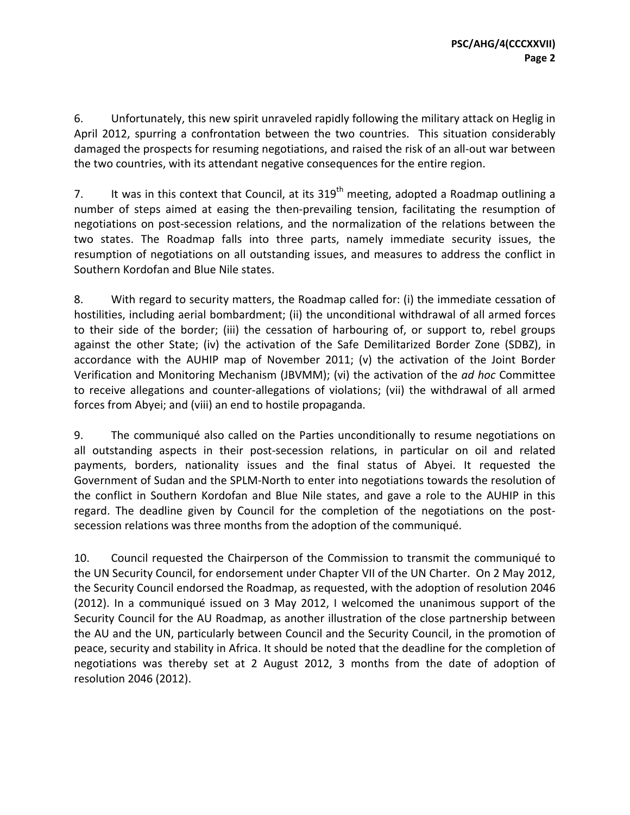6. Unfortunately, this new spirit unraveled rapidly following the military attack on Heglig in April 2012, spurring a confrontation between the two countries. This situation considerably damaged the prospects for resuming negotiations, and raised the risk of an all‐out war between the two countries, with its attendant negative consequences for the entire region.

7. It was in this context that Council, at its  $319<sup>th</sup>$  meeting, adopted a Roadmap outlining a number of steps aimed at easing the then-prevailing tension, facilitating the resumption of negotiations on post‐secession relations, and the normalization of the relations between the two states. The Roadmap falls into three parts, namely immediate security issues, the resumption of negotiations on all outstanding issues, and measures to address the conflict in Southern Kordofan and Blue Nile states.

8. With regard to security matters, the Roadmap called for: (i) the immediate cessation of hostilities, including aerial bombardment; (ii) the unconditional withdrawal of all armed forces to their side of the border; (iii) the cessation of harbouring of, or support to, rebel groups against the other State; (iv) the activation of the Safe Demilitarized Border Zone (SDBZ), in accordance with the AUHIP map of November 2011; (v) the activation of the Joint Border Verification and Monitoring Mechanism (JBVMM); (vi) the activation of the *ad hoc* Committee to receive allegations and counter‐allegations of violations; (vii) the withdrawal of all armed forces from Abyei; and (viii) an end to hostile propaganda.

9. The communiqué also called on the Parties unconditionally to resume negotiations on all outstanding aspects in their post‐secession relations, in particular on oil and related payments, borders, nationality issues and the final status of Abyei. It requested the Government of Sudan and the SPLM‐North to enter into negotiations towards the resolution of the conflict in Southern Kordofan and Blue Nile states, and gave a role to the AUHIP in this regard. The deadline given by Council for the completion of the negotiations on the postsecession relations was three months from the adoption of the communiqué.

10. Council requested the Chairperson of the Commission to transmit the communiqué to the UN Security Council, for endorsement under Chapter VII of the UN Charter. On 2 May 2012, the Security Council endorsed the Roadmap, as requested, with the adoption of resolution 2046 (2012). In a communiqué issued on 3 May 2012, I welcomed the unanimous support of the Security Council for the AU Roadmap, as another illustration of the close partnership between the AU and the UN, particularly between Council and the Security Council, in the promotion of peace, security and stability in Africa. It should be noted that the deadline for the completion of negotiations was thereby set at 2 August 2012, 3 months from the date of adoption of resolution 2046 (2012).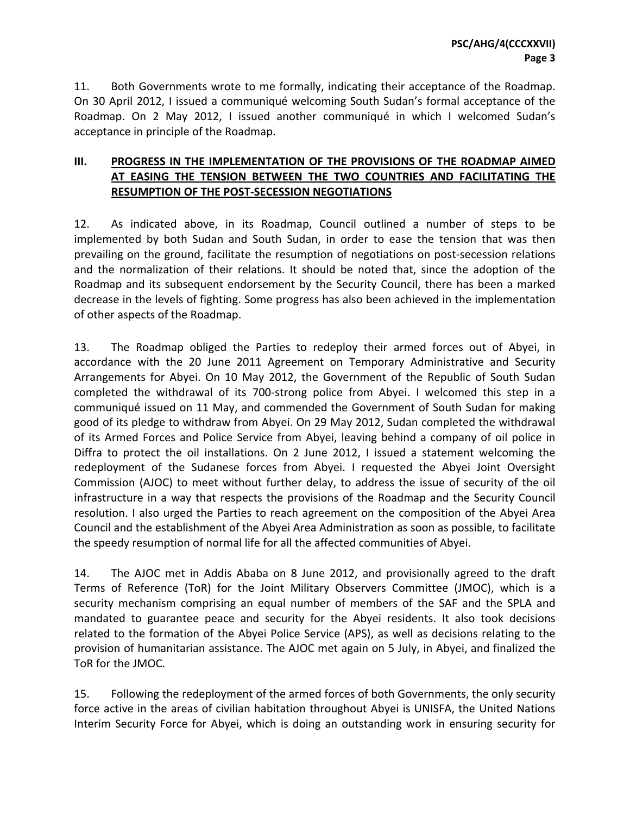11. Both Governments wrote to me formally, indicating their acceptance of the Roadmap. On 30 April 2012, I issued a communiqué welcoming South Sudan's formal acceptance of the Roadmap. On 2 May 2012, I issued another communiqué in which I welcomed Sudan's acceptance in principle of the Roadmap.

# **III. PROGRESS IN THE IMPLEMENTATION OF THE PROVISIONS OF THE ROADMAP AIMED AT EASING THE TENSION BETWEEN THE TWO COUNTRIES AND FACILITATING THE RESUMPTION OF THE POST‐SECESSION NEGOTIATIONS**

12. As indicated above, in its Roadmap, Council outlined a number of steps to be implemented by both Sudan and South Sudan, in order to ease the tension that was then prevailing on the ground, facilitate the resumption of negotiations on post-secession relations and the normalization of their relations. It should be noted that, since the adoption of the Roadmap and its subsequent endorsement by the Security Council, there has been a marked decrease in the levels of fighting. Some progress has also been achieved in the implementation of other aspects of the Roadmap.

13. The Roadmap obliged the Parties to redeploy their armed forces out of Abyei, in accordance with the 20 June 2011 Agreement on Temporary Administrative and Security Arrangements for Abyei. On 10 May 2012, the Government of the Republic of South Sudan completed the withdrawal of its 700‐strong police from Abyei. I welcomed this step in a communiqué issued on 11 May, and commended the Government of South Sudan for making good of its pledge to withdraw from Abyei. On 29 May 2012, Sudan completed the withdrawal of its Armed Forces and Police Service from Abyei, leaving behind a company of oil police in Diffra to protect the oil installations. On 2 June 2012, I issued a statement welcoming the redeployment of the Sudanese forces from Abyei. I requested the Abyei Joint Oversight Commission (AJOC) to meet without further delay, to address the issue of security of the oil infrastructure in a way that respects the provisions of the Roadmap and the Security Council resolution. I also urged the Parties to reach agreement on the composition of the Abyei Area Council and the establishment of the Abyei Area Administration as soon as possible, to facilitate the speedy resumption of normal life for all the affected communities of Abyei.

14. The AJOC met in Addis Ababa on 8 June 2012, and provisionally agreed to the draft Terms of Reference (ToR) for the Joint Military Observers Committee (JMOC), which is a security mechanism comprising an equal number of members of the SAF and the SPLA and mandated to guarantee peace and security for the Abyei residents. It also took decisions related to the formation of the Abyei Police Service (APS), as well as decisions relating to the provision of humanitarian assistance. The AJOC met again on 5 July, in Abyei, and finalized the ToR for the JMOC.

15. Following the redeployment of the armed forces of both Governments, the only security force active in the areas of civilian habitation throughout Abyei is UNISFA, the United Nations Interim Security Force for Abyei, which is doing an outstanding work in ensuring security for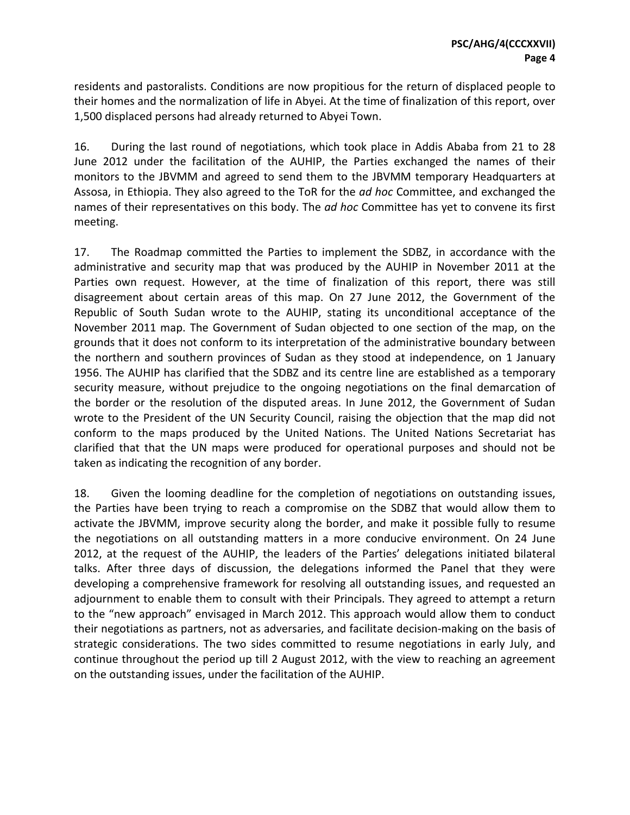residents and pastoralists. Conditions are now propitious for the return of displaced people to their homes and the normalization of life in Abyei. At the time of finalization of this report, over 1,500 displaced persons had already returned to Abyei Town.

16. During the last round of negotiations, which took place in Addis Ababa from 21 to 28 June 2012 under the facilitation of the AUHIP, the Parties exchanged the names of their monitors to the JBVMM and agreed to send them to the JBVMM temporary Headquarters at Assosa, in Ethiopia. They also agreed to the ToR for the *ad hoc* Committee, and exchanged the names of their representatives on this body. The *ad hoc* Committee has yet to convene its first meeting.

17. The Roadmap committed the Parties to implement the SDBZ, in accordance with the administrative and security map that was produced by the AUHIP in November 2011 at the Parties own request. However, at the time of finalization of this report, there was still disagreement about certain areas of this map. On 27 June 2012, the Government of the Republic of South Sudan wrote to the AUHIP, stating its unconditional acceptance of the November 2011 map. The Government of Sudan objected to one section of the map, on the grounds that it does not conform to its interpretation of the administrative boundary between the northern and southern provinces of Sudan as they stood at independence, on 1 January 1956. The AUHIP has clarified that the SDBZ and its centre line are established as a temporary security measure, without prejudice to the ongoing negotiations on the final demarcation of the border or the resolution of the disputed areas. In June 2012, the Government of Sudan wrote to the President of the UN Security Council, raising the objection that the map did not conform to the maps produced by the United Nations. The United Nations Secretariat has clarified that that the UN maps were produced for operational purposes and should not be taken as indicating the recognition of any border.

18. Given the looming deadline for the completion of negotiations on outstanding issues, the Parties have been trying to reach a compromise on the SDBZ that would allow them to activate the JBVMM, improve security along the border, and make it possible fully to resume the negotiations on all outstanding matters in a more conducive environment. On 24 June 2012, at the request of the AUHIP, the leaders of the Parties' delegations initiated bilateral talks. After three days of discussion, the delegations informed the Panel that they were developing a comprehensive framework for resolving all outstanding issues, and requested an adjournment to enable them to consult with their Principals. They agreed to attempt a return to the "new approach" envisaged in March 2012. This approach would allow them to conduct their negotiations as partners, not as adversaries, and facilitate decision‐making on the basis of strategic considerations. The two sides committed to resume negotiations in early July, and continue throughout the period up till 2 August 2012, with the view to reaching an agreement on the outstanding issues, under the facilitation of the AUHIP.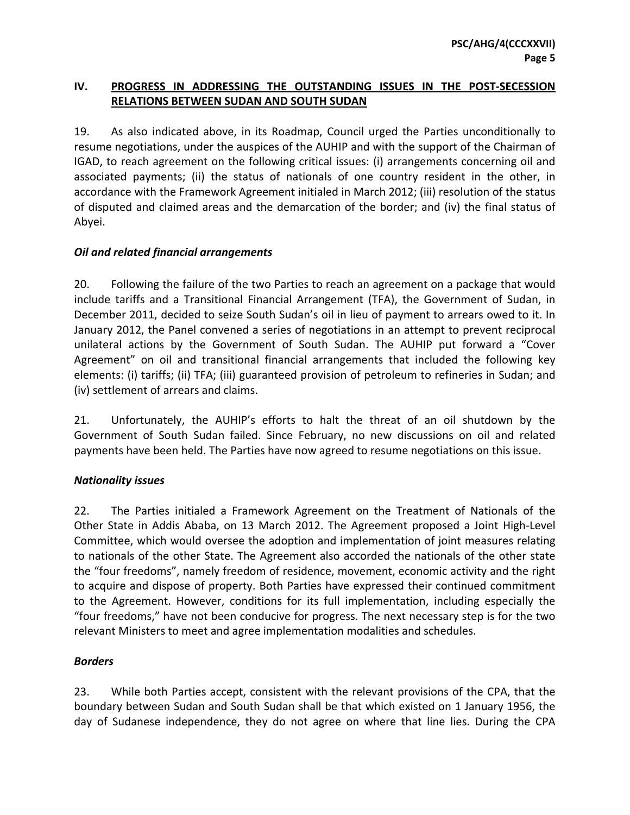# **IV. PROGRESS IN ADDRESSING THE OUTSTANDING ISSUES IN THE POST‐SECESSION RELATIONS BETWEEN SUDAN AND SOUTH SUDAN**

19. As also indicated above, in its Roadmap, Council urged the Parties unconditionally to resume negotiations, under the auspices of the AUHIP and with the support of the Chairman of IGAD, to reach agreement on the following critical issues: (i) arrangements concerning oil and associated payments; (ii) the status of nationals of one country resident in the other, in accordance with the Framework Agreement initialed in March 2012; (iii) resolution of the status of disputed and claimed areas and the demarcation of the border; and (iv) the final status of Abyei.

### *Oil and related financial arrangements*

20. Following the failure of the two Parties to reach an agreement on a package that would include tariffs and a Transitional Financial Arrangement (TFA), the Government of Sudan, in December 2011, decided to seize South Sudan's oil in lieu of payment to arrears owed to it. In January 2012, the Panel convened a series of negotiations in an attempt to prevent reciprocal unilateral actions by the Government of South Sudan. The AUHIP put forward a "Cover Agreement" on oil and transitional financial arrangements that included the following key elements: (i) tariffs; (ii) TFA; (iii) guaranteed provision of petroleum to refineries in Sudan; and (iv) settlement of arrears and claims.

21. Unfortunately, the AUHIP's efforts to halt the threat of an oil shutdown by the Government of South Sudan failed. Since February, no new discussions on oil and related payments have been held. The Parties have now agreed to resume negotiations on this issue.

#### *Nationality issues*

22. The Parties initialed a Framework Agreement on the Treatment of Nationals of the Other State in Addis Ababa, on 13 March 2012. The Agreement proposed a Joint High‐Level Committee, which would oversee the adoption and implementation of joint measures relating to nationals of the other State. The Agreement also accorded the nationals of the other state the "four freedoms", namely freedom of residence, movement, economic activity and the right to acquire and dispose of property. Both Parties have expressed their continued commitment to the Agreement. However, conditions for its full implementation, including especially the "four freedoms," have not been conducive for progress. The next necessary step is for the two relevant Ministers to meet and agree implementation modalities and schedules.

### *Borders*

23. While both Parties accept, consistent with the relevant provisions of the CPA, that the boundary between Sudan and South Sudan shall be that which existed on 1 January 1956, the day of Sudanese independence, they do not agree on where that line lies. During the CPA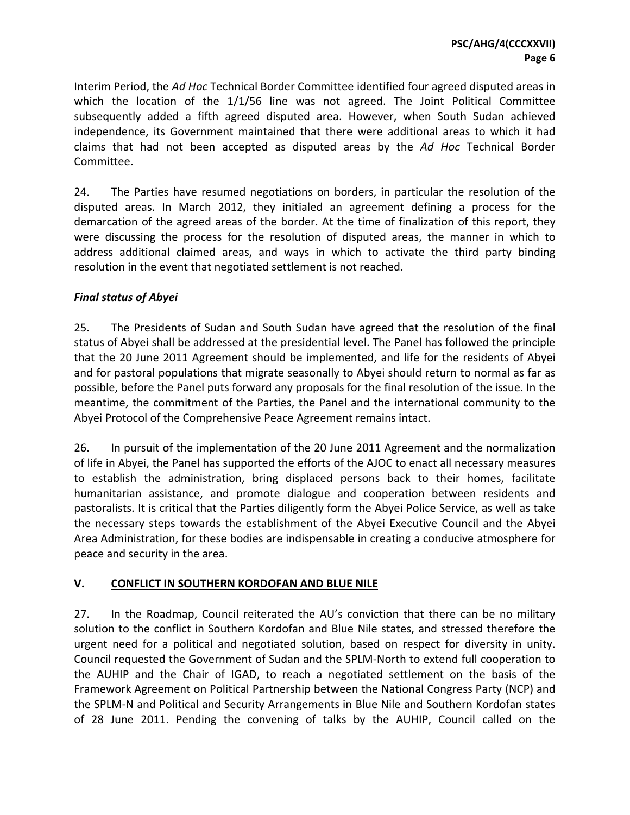Interim Period, the *Ad Hoc* Technical Border Committee identified four agreed disputed areas in which the location of the 1/1/56 line was not agreed. The Joint Political Committee subsequently added a fifth agreed disputed area. However, when South Sudan achieved independence, its Government maintained that there were additional areas to which it had claims that had not been accepted as disputed areas by the *Ad Hoc* Technical Border Committee.

24. The Parties have resumed negotiations on borders, in particular the resolution of the disputed areas. In March 2012, they initialed an agreement defining a process for the demarcation of the agreed areas of the border. At the time of finalization of this report, they were discussing the process for the resolution of disputed areas, the manner in which to address additional claimed areas, and ways in which to activate the third party binding resolution in the event that negotiated settlement is not reached.

### *Final status of Abyei*

25. The Presidents of Sudan and South Sudan have agreed that the resolution of the final status of Abyei shall be addressed at the presidential level. The Panel has followed the principle that the 20 June 2011 Agreement should be implemented, and life for the residents of Abyei and for pastoral populations that migrate seasonally to Abyei should return to normal as far as possible, before the Panel puts forward any proposals for the final resolution of the issue. In the meantime, the commitment of the Parties, the Panel and the international community to the Abyei Protocol of the Comprehensive Peace Agreement remains intact.

26. In pursuit of the implementation of the 20 June 2011 Agreement and the normalization of life in Abyei, the Panel has supported the efforts of the AJOC to enact all necessary measures to establish the administration, bring displaced persons back to their homes, facilitate humanitarian assistance, and promote dialogue and cooperation between residents and pastoralists. It is critical that the Parties diligently form the Abyei Police Service, as well as take the necessary steps towards the establishment of the Abyei Executive Council and the Abyei Area Administration, for these bodies are indispensable in creating a conducive atmosphere for peace and security in the area.

# **V. CONFLICT IN SOUTHERN KORDOFAN AND BLUE NILE**

27. In the Roadmap, Council reiterated the AU's conviction that there can be no military solution to the conflict in Southern Kordofan and Blue Nile states, and stressed therefore the urgent need for a political and negotiated solution, based on respect for diversity in unity. Council requested the Government of Sudan and the SPLM‐North to extend full cooperation to the AUHIP and the Chair of IGAD, to reach a negotiated settlement on the basis of the Framework Agreement on Political Partnership between the National Congress Party (NCP) and the SPLM‐N and Political and Security Arrangements in Blue Nile and Southern Kordofan states of 28 June 2011. Pending the convening of talks by the AUHIP, Council called on the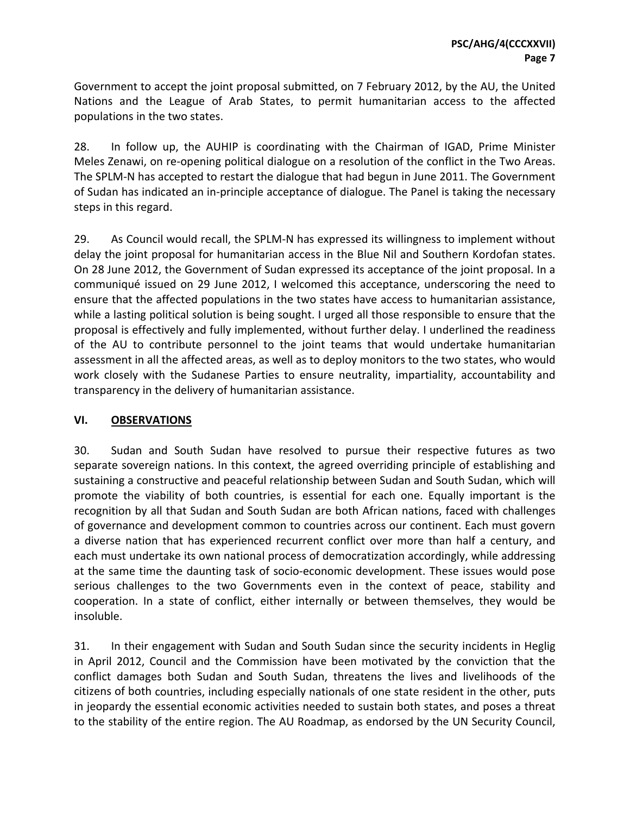Government to accept the joint proposal submitted, on 7 February 2012, by the AU, the United Nations and the League of Arab States, to permit humanitarian access to the affected populations in the two states.

28. In follow up, the AUHIP is coordinating with the Chairman of IGAD, Prime Minister Meles Zenawi, on re‐opening political dialogue on a resolution of the conflict in the Two Areas. The SPLM‐N has accepted to restart the dialogue that had begun in June 2011. The Government of Sudan has indicated an in‐principle acceptance of dialogue. The Panel is taking the necessary steps in this regard.

29. As Council would recall, the SPLM‐N has expressed its willingness to implement without delay the joint proposal for humanitarian access in the Blue Nil and Southern Kordofan states. On 28 June 2012, the Government of Sudan expressed its acceptance of the joint proposal. In a communiqué issued on 29 June 2012, I welcomed this acceptance, underscoring the need to ensure that the affected populations in the two states have access to humanitarian assistance, while a lasting political solution is being sought. I urged all those responsible to ensure that the proposal is effectively and fully implemented, without further delay. I underlined the readiness of the AU to contribute personnel to the joint teams that would undertake humanitarian assessment in all the affected areas, as well as to deploy monitors to the two states, who would work closely with the Sudanese Parties to ensure neutrality, impartiality, accountability and transparency in the delivery of humanitarian assistance.

### **VI. OBSERVATIONS**

30. Sudan and South Sudan have resolved to pursue their respective futures as two separate sovereign nations. In this context, the agreed overriding principle of establishing and sustaining a constructive and peaceful relationship between Sudan and South Sudan, which will promote the viability of both countries, is essential for each one. Equally important is the recognition by all that Sudan and South Sudan are both African nations, faced with challenges of governance and development common to countries across our continent. Each must govern a diverse nation that has experienced recurrent conflict over more than half a century, and each must undertake its own national process of democratization accordingly, while addressing at the same time the daunting task of socio‐economic development. These issues would pose serious challenges to the two Governments even in the context of peace, stability and cooperation. In a state of conflict, either internally or between themselves, they would be insoluble.

31. In their engagement with Sudan and South Sudan since the security incidents in Heglig in April 2012, Council and the Commission have been motivated by the conviction that the conflict damages both Sudan and South Sudan, threatens the lives and livelihoods of the citizens of both countries, including especially nationals of one state resident in the other, puts in jeopardy the essential economic activities needed to sustain both states, and poses a threat to the stability of the entire region. The AU Roadmap, as endorsed by the UN Security Council,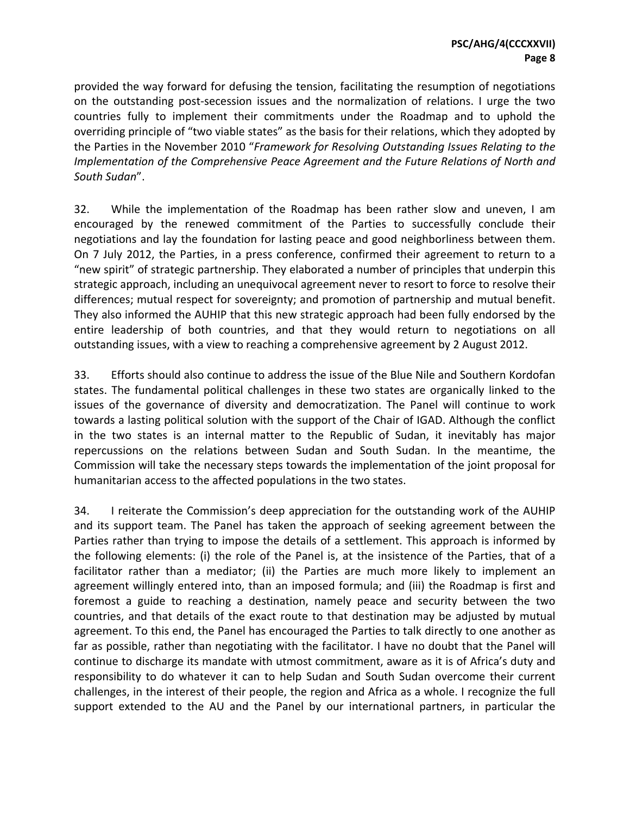provided the way forward for defusing the tension, facilitating the resumption of negotiations on the outstanding post‐secession issues and the normalization of relations. I urge the two countries fully to implement their commitments under the Roadmap and to uphold the overriding principle of "two viable states" as the basis for their relations, which they adopted by the Parties in the November 2010 "*Framework for Resolving Outstanding Issues Relating to the Implementation of the Comprehensive Peace Agreement and the Future Relations of North and South Sudan*".

32. While the implementation of the Roadmap has been rather slow and uneven, I am encouraged by the renewed commitment of the Parties to successfully conclude their negotiations and lay the foundation for lasting peace and good neighborliness between them. On 7 July 2012, the Parties, in a press conference, confirmed their agreement to return to a "new spirit" of strategic partnership. They elaborated a number of principles that underpin this strategic approach, including an unequivocal agreement never to resort to force to resolve their differences; mutual respect for sovereignty; and promotion of partnership and mutual benefit. They also informed the AUHIP that this new strategic approach had been fully endorsed by the entire leadership of both countries, and that they would return to negotiations on all outstanding issues, with a view to reaching a comprehensive agreement by 2 August 2012.

33. Efforts should also continue to address the issue of the Blue Nile and Southern Kordofan states. The fundamental political challenges in these two states are organically linked to the issues of the governance of diversity and democratization. The Panel will continue to work towards a lasting political solution with the support of the Chair of IGAD. Although the conflict in the two states is an internal matter to the Republic of Sudan, it inevitably has major repercussions on the relations between Sudan and South Sudan. In the meantime, the Commission will take the necessary steps towards the implementation of the joint proposal for humanitarian access to the affected populations in the two states.

34. I reiterate the Commission's deep appreciation for the outstanding work of the AUHIP and its support team. The Panel has taken the approach of seeking agreement between the Parties rather than trying to impose the details of a settlement. This approach is informed by the following elements: (i) the role of the Panel is, at the insistence of the Parties, that of a facilitator rather than a mediator; (ii) the Parties are much more likely to implement an agreement willingly entered into, than an imposed formula; and (iii) the Roadmap is first and foremost a guide to reaching a destination, namely peace and security between the two countries, and that details of the exact route to that destination may be adjusted by mutual agreement. To this end, the Panel has encouraged the Parties to talk directly to one another as far as possible, rather than negotiating with the facilitator. I have no doubt that the Panel will continue to discharge its mandate with utmost commitment, aware as it is of Africa's duty and responsibility to do whatever it can to help Sudan and South Sudan overcome their current challenges, in the interest of their people, the region and Africa as a whole. I recognize the full support extended to the AU and the Panel by our international partners, in particular the